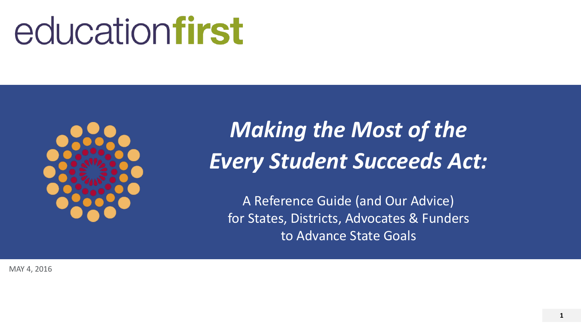# educationfirst



# *Making the Most of the Every Student Succeeds Act:*

A Reference Guide (and Our Advice) for States, Districts, Advocates & Funders to Advance State Goals

MAY 4, 2016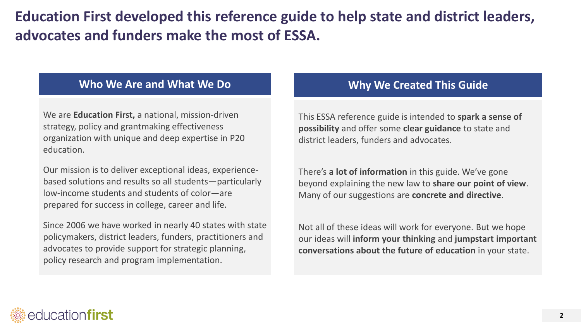## **Education First developed this reference guide to help state and district leaders, advocates and funders make the most of ESSA.**

### **Who We Are and What We Do**

We are **Education First,** a national, mission-driven strategy, policy and grantmaking effectiveness organization with unique and deep expertise in P20 education.

Our mission is to deliver exceptional ideas, experiencebased solutions and results so all students—particularly low-income students and students of color—are prepared for success in college, career and life.

Since 2006 we have worked in nearly 40 states with state policymakers, district leaders, funders, practitioners and advocates to provide support for strategic planning, policy research and program implementation.

## **Why We Created This Guide**

This ESSA reference guide is intended to **spark a sense of possibility** and offer some **clear guidance** to state and district leaders, funders and advocates.

There's **a lot of information** in this guide. We've gone beyond explaining the new law to **share our point of view**. Many of our suggestions are **concrete and directive**.

Not all of these ideas will work for everyone. But we hope our ideas will **inform your thinking** and **jumpstart important conversations about the future of education** in your state.

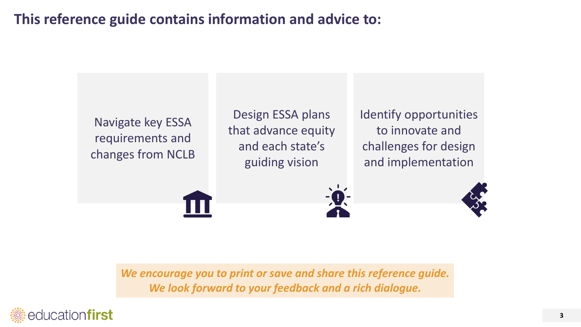## **This reference guide contains information and advice to:**



*We encourage you to print or save and share this reference guide. We look forward to your feedback and a rich dialogue.*

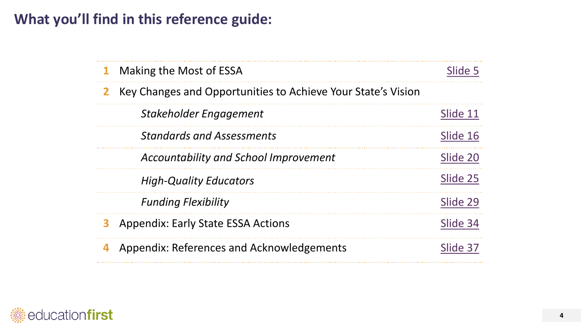## **What you'll find in this reference guide:**

| $\mathbf 1$  | Making the Most of ESSA                                      | Slide 5  |
|--------------|--------------------------------------------------------------|----------|
| $\mathbf{Z}$ | Key Changes and Opportunities to Achieve Your State's Vision |          |
|              | Stakeholder Engagement                                       | Slide 11 |
|              | <b>Standards and Assessments</b>                             | Slide 16 |
|              | <b>Accountability and School Improvement</b>                 | Slide 20 |
|              | <b>High-Quality Educators</b>                                | Slide 25 |
|              | <b>Funding Flexibility</b>                                   | Slide 29 |
| 3            | <b>Appendix: Early State ESSA Actions</b>                    | Slide 34 |
|              | Appendix: References and Acknowledgements                    | Slide 37 |

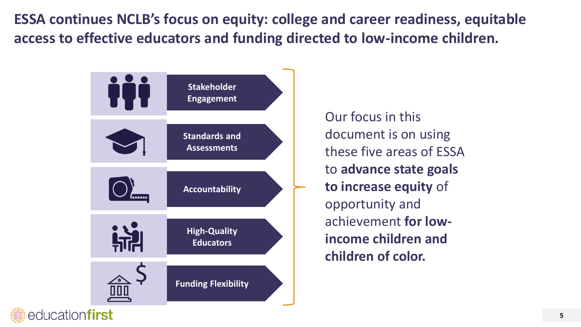**ESSA continues NCLB's focus on equity: college and career readiness, equitable access to effective educators and funding directed to low-income children.**

<span id="page-4-0"></span>

Our focus in this document is on using these five areas of ESSA to **advance state goals to increase equity** of opportunity and achievement **for lowincome children and children of color.**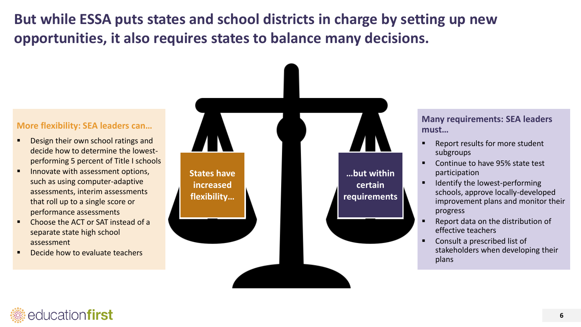**But while ESSA puts states and school districts in charge by setting up new opportunities, it also requires states to balance many decisions.** 

### **More flexibility: SEA leaders can…**

- Design their own school ratings and decide how to determine the lowestperforming 5 percent of Title I schools
- **Innovate with assessment options,** such as using computer-adaptive assessments, interim assessments that roll up to a single score or performance assessments
- Choose the ACT or SAT instead of a separate state high school assessment
- Decide how to evaluate teachers



**Many requirements: SEA leaders must…**

- **Report results for more student** subgroups
- Continue to have 95% state test participation
- **IDENTIFY THE LOWEST-PEREDAMIC PROPER** schools, approve locally-developed improvement plans and monitor their progress
- Report data on the distribution of effective teachers
- Consult a prescribed list of stakeholders when developing their plans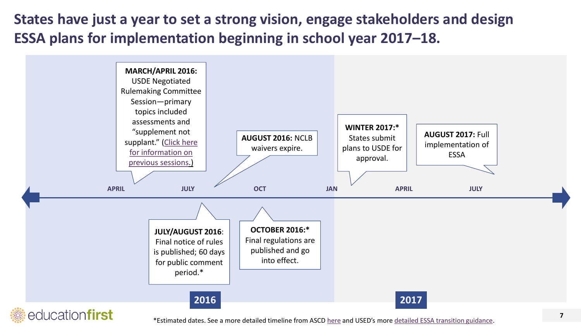**States have just a year to set a strong vision, engage stakeholders and design ESSA plans for implementation beginning in school year 2017–18.** 



\*Estimated dates. See a more detailed timeline from ASCD [here](http://www.ascd.org/ASCD/pdf/siteASCD/policy/ESSA_Resources_Timeline.pdf.) and USED's more [detailed ESSA transition guidance](http://www2.ed.gov/policy/elsec/leg/essa/faq/essa-faqs.pdf).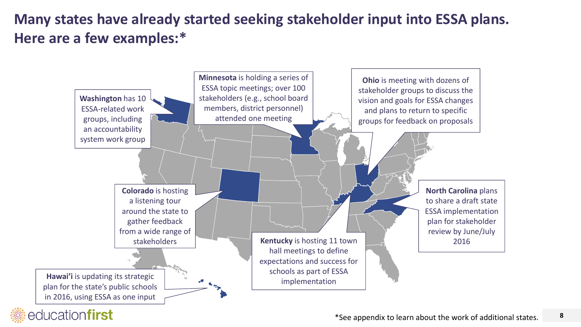## **Many states have already started seeking stakeholder input into ESSA plans. Here are a few examples:\***

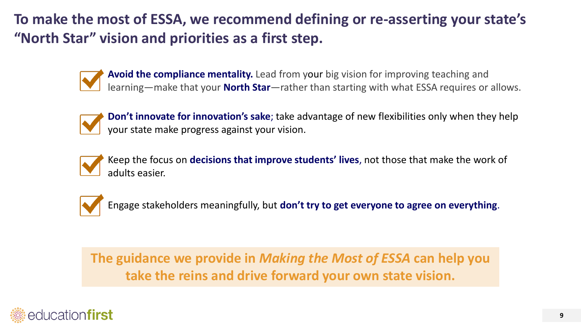**To make the most of ESSA, we recommend defining or re-asserting your state's "North Star" vision and priorities as a first step.**



**Avoid the compliance mentality.** Lead from your big vision for improving teaching and learning—make that your **North Star**—rather than starting with what ESSA requires or allows.



**Don't innovate for innovation's sake**; take advantage of new flexibilities only when they help your state make progress against your vision.



Keep the focus on **decisions that improve students' lives**, not those that make the work of adults easier.



Engage stakeholders meaningfully, but **don't try to get everyone to agree on everything**.

**The guidance we provide in** *Making the Most of ESSA* **can help you take the reins and drive forward your own state vision.**

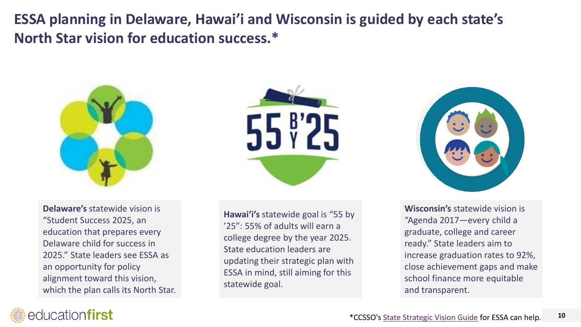**ESSA planning in Delaware, Hawai'i and Wisconsin is guided by each state's North Star vision for education success.\*** 



**Delaware's** statewide vision is "Student Success 2025, an education that prepares every Delaware child for success in 2025." State leaders see ESSA as an opportunity for policy alignment toward this vision, which the plan calls its North Star.



**Hawai'i's** statewide goal is "55 by '25": 55% of adults will earn a college degree by the year 2025. State education leaders are updating their strategic plan with ESSA in mind, still aiming for this statewide goal.



**Wisconsin's** statewide vision is "Agenda 2017—every child a graduate, college and career ready." State leaders aim to increase graduation rates to 92%, close achievement gaps and make school finance more equitable and transparent.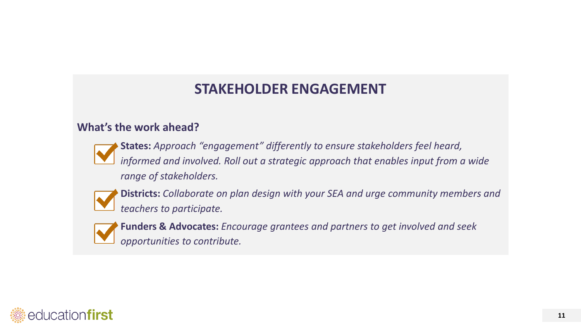## **STAKEHOLDER ENGAGEMENT**

## **What's the work ahead?**



**States:** *Approach "engagement" differently to ensure stakeholders feel heard, informed and involved. Roll out a strategic approach that enables input from a wide range of stakeholders.*



**Districts:** *Collaborate on plan design with your SEA and urge community members and teachers to participate.*



**Funders & Advocates:** *Encourage grantees and partners to get involved and seek opportunities to contribute.* 

<span id="page-10-0"></span>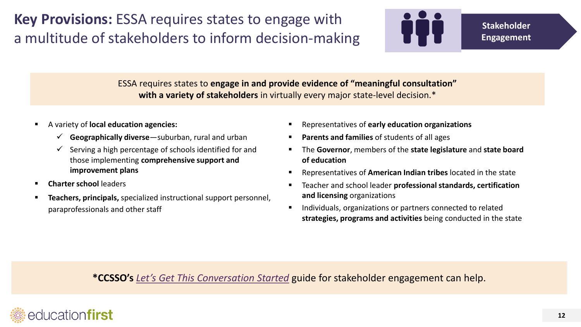**Key Provisions:** ESSA requires states to engage with a multitude of stakeholders to inform decision-making



ESSA requires states to **engage in and provide evidence of "meaningful consultation" with a variety of stakeholders** in virtually every major state-level decision.\*

- A variety of **local education agencies:**
	- **Geographically diverse**—suburban, rural and urban
	- $\checkmark$  Serving a high percentage of schools identified for and those implementing **comprehensive support and improvement plans**
- **EXECUTE: Charter school leaders**
- **Teachers, principals,** specialized instructional support personnel, paraprofessionals and other staff
- Representatives of **early education organizations**
- **Parents and families** of students of all ages
- The **Governor**, members of the **state legislature** and **state board of education**
- Representatives of **American Indian tribes** located in the state
- Teacher and school leader **professional standards, certification and licensing** organizations
- **Individuals, organizations or partners connected to related strategies, programs and activities** being conducted in the state

**\*CCSSO's** *[Let's Get This Conversation Started](http://www.ccsso.org/Documents/2016/ESSA/GuideonESSAStakeholderOutreach.pdf)* guide for stakeholder engagement can help.

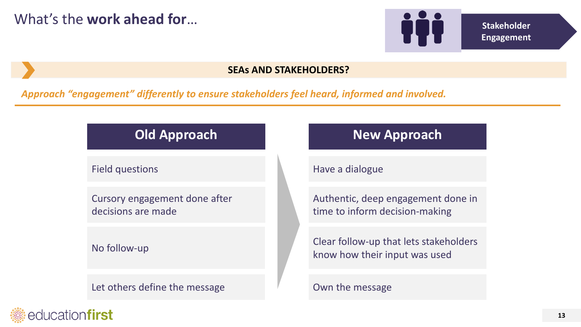

### **SEAs AND STAKEHOLDERS?**

*Approach "engagement" differently to ensure stakeholders feel heard, informed and involved.* 

Field questions

Cursory engagement done after decisions are made

No follow-up

educationfirst

Let others define the message

## **Old Approach <b>New Approach**

Have a dialogue

Authentic, deep engagement done in time to inform decision-making

Clear follow-up that lets stakeholders know how their input was used

Own the message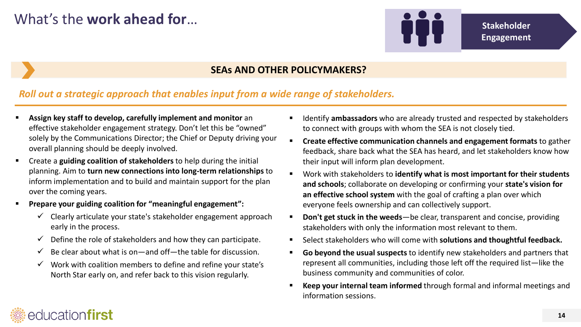

## **Engagement**

### **SEAs AND OTHER POLICYMAKERS?**

### *Roll out a strategic approach that enables input from a wide range of stakeholders.*

- **Assign key staff to develop, carefully implement and monitor** an effective stakeholder engagement strategy. Don't let this be "owned" solely by the Communications Director; the Chief or Deputy driving your overall planning should be deeply involved.
- Create a **guiding coalition of stakeholders** to help during the initial planning. Aim to **turn new connections into long-term relationships** to inform implementation and to build and maintain support for the plan over the coming years.
- **Prepare your guiding coalition for "meaningful engagement":**
	- $\checkmark$  Clearly articulate your state's stakeholder engagement approach early in the process.
	- $\checkmark$  Define the role of stakeholders and how they can participate.
	- $\checkmark$  Be clear about what is on—and off—the table for discussion.
	- $\checkmark$  Work with coalition members to define and refine your state's North Star early on, and refer back to this vision regularly.
- Identify **ambassadors** who are already trusted and respected by stakeholders to connect with groups with whom the SEA is not closely tied.
- **Create effective communication channels and engagement formats** to gather feedback, share back what the SEA has heard, and let stakeholders know how their input will inform plan development.
- Work with stakeholders to **identify what is most important for their students and schools**; collaborate on developing or confirming your **state's vision for an effective school system** with the goal of crafting a plan over which everyone feels ownership and can collectively support.
- **Don't get stuck in the weeds**—be clear, transparent and concise, providing stakeholders with only the information most relevant to them.
- Select stakeholders who will come with **solutions and thoughtful feedback.**
- **Go beyond the usual suspects** to identify new stakeholders and partners that represent all communities, including those left off the required list—like the business community and communities of color.
- **Keep your internal team informed** through formal and informal meetings and information sessions.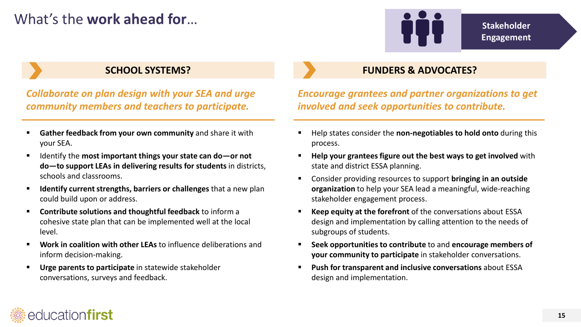## What's the **work ahead for… Stakeholder Stakeholder Stakeholder**



**Engagement**

*Collaborate on plan design with your SEA and urge community members and teachers to participate.*

- **Gather feedback from your own community** and share it with your SEA.
- Identify the **most important things your state can do—or not do—to support LEAs in delivering results for students** in districts, schools and classrooms.
- **If all identify current strengths, barriers or challenges** that a new plan could build upon or address.
- **Contribute solutions and thoughtful feedback** to inform a cohesive state plan that can be implemented well at the local level.
- **Work in coalition with other LEAs** to influence deliberations and inform decision-making.
- **Urge parents to participate** in statewide stakeholder conversations, surveys and feedback.

## **SCHOOL SYSTEMS? FUNDERS & ADVOCATES?**

*Encourage grantees and partner organizations to get involved and seek opportunities to contribute.* 

- Help states consider the **non-negotiables to hold onto** during this process.
- **Help your grantees figure out the best ways to get involved** with state and district ESSA planning.
- Consider providing resources to support **bringing in an outside organization** to help your SEA lead a meaningful, wide-reaching stakeholder engagement process.
- **Keep equity at the forefront** of the conversations about ESSA design and implementation by calling attention to the needs of subgroups of students.
- **Seek opportunities to contribute** to and **encourage members of your community to participate** in stakeholder conversations.
- **Push for transparent and inclusive conversations** about ESSA design and implementation.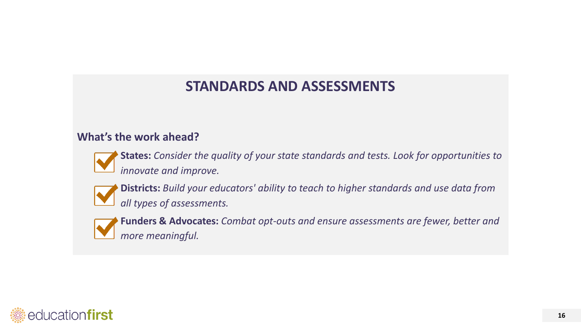## **STANDARDS AND ASSESSMENTS**

## **What's the work ahead?**



**States:** *Consider the quality of your state standards and tests. Look for opportunities to innovate and improve.*



**Districts:** *Build your educators' ability to teach to higher standards and use data from all types of assessments.*



**Funders & Advocates:** *Combat opt-outs and ensure assessments are fewer, better and more meaningful.*

<span id="page-15-0"></span>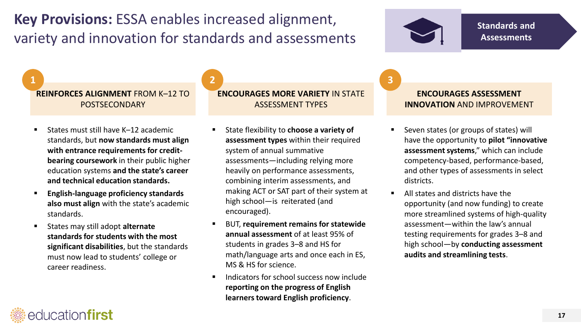**Key Provisions:** ESSA enables increased alignment, variety and innovation for standards and assessments



**Standards and Assessments**

**REINFORCES ALIGNMENT** FROM K–12 TO POSTSECONDARY

- States must still have K–12 academic standards, but **now standards must align with entrance requirements for creditbearing coursework** in their public higher education systems **and the state's career and technical education standards.**
- **English-language proficiency standards also must align** with the state's academic standards.
- States may still adopt **alternate standards for students with the most significant disabilities**, but the standards must now lead to students' college or career readiness.

education**first** 

### **ENCOURAGES MORE VARIETY** IN STATE ASSESSMENT TYPES **1 2 3**

- State flexibility to **choose a variety of assessment types** within their required system of annual summative assessments—including relying more heavily on performance assessments, combining interim assessments, and making ACT or SAT part of their system at high school—is reiterated (and encouraged).
- BUT, **requirement remains for statewide annual assessment** of at least 95% of students in grades 3–8 and HS for math/language arts and once each in ES, MS & HS for science.
- Indicators for school success now include **reporting on the progress of English learners toward English proficiency**.

### **ENCOURAGES ASSESSMENT INNOVATION** AND IMPROVEMENT

- Seven states (or groups of states) will have the opportunity to **pilot "innovative assessment systems**," which can include competency-based, performance-based, and other types of assessments in select districts.
- All states and districts have the opportunity (and now funding) to create more streamlined systems of high-quality assessment—within the law's annual testing requirements for grades 3–8 and high school—by **conducting assessment audits and streamlining tests**.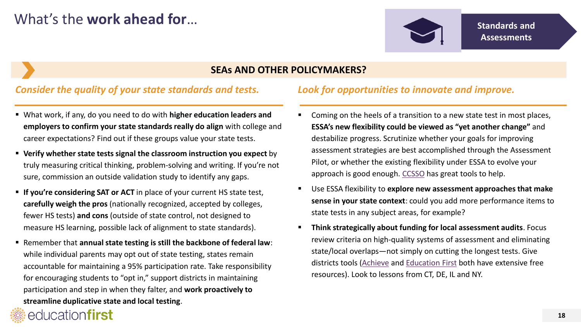

### **SEAs AND OTHER POLICYMAKERS?**

### *Consider the quality of your state standards and tests.*

- What work, if any, do you need to do with **higher education leaders and employers to confirm your state standards really do align** with college and career expectations? Find out if these groups value your state tests.
- **Verify whether state tests signal the classroom instruction you expect** by truly measuring critical thinking, problem-solving and writing. If you're not sure, commission an outside validation study to identify any gaps.
- **If you're considering SAT or ACT** in place of your current HS state test, **carefully weigh the pros** (nationally recognized, accepted by colleges, fewer HS tests) **and cons** (outside of state control, not designed to measure HS learning, possible lack of alignment to state standards).
- Remember that **annual state testing is still the backbone of federal law**: while individual parents may opt out of state testing, states remain accountable for maintaining a 95% participation rate. Take responsibility for encouraging students to "opt in," support districts in maintaining participation and step in when they falter, and **work proactively to streamline duplicative state and local testing**.

educationfirst

### *Look for opportunities to innovate and improve.*

- Coming on the heels of a transition to a new state test in most places, **ESSA's new flexibility could be viewed as "yet another change"** and destabilize progress. Scrutinize whether your goals for improving assessment strategies are best accomplished through the Assessment Pilot, or whether the existing flexibility under ESSA to evolve your approach is good enough. [CCSSO](http://www.ccsso.org/Resources/Publications/Comprehensive_Statewide_Assessment_Systems_A_Framework_for_the_Role_of_the_State_Education_Agency_in_Improving_Quality_and_Reducing_Burden.html) has great tools to help.
- Use ESSA flexibility to **explore new assessment approaches that make sense in your state context**: could you add more performance items to state tests in any subject areas, for example?
- **Think strategically about funding for local assessment audits**. Focus review criteria on high-quality systems of assessment and eliminating state/local overlaps—not simply on cutting the longest tests. Give districts tools [\(Achieve](http://www.achieve.org/assessmentinventory) and [Education First](http://education-first.com/library/publication/fewer-and-better-local-assessments/) both have extensive free resources). Look to lessons from CT, DE, IL and NY.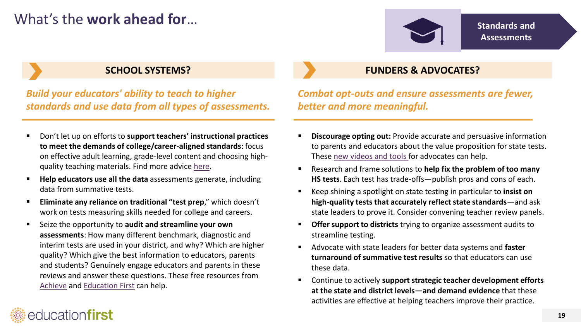## What's the work ahead for…



*Build your educators' ability to teach to higher standards and use data from all types of assessments.*

- Don't let up on efforts to **support teachers' instructional practices to meet the demands of college/career-aligned standards**: focus on effective adult learning, grade-level content and choosing highquality teaching materials. Find more advice [here](http://education-first.com/library/publication/common-core-state-standards-the-transformation-of-professional-development/).
- **Help educators use all the data** assessments generate, including data from summative tests.
- **Eliminate any reliance on traditional "test prep**," which doesn't work on tests measuring skills needed for college and careers.
- Seize the opportunity to **audit and streamline your own assessments**: How many different benchmark, diagnostic and interim tests are used in your district, and why? Which are higher quality? Which give the best information to educators, parents and students? Genuinely engage educators and parents in these reviews and answer these questions. These free resources from [Achieve](http://www.achieve.org/assessmentinventory) and [Education First](http://education-first.com/library/publication/fewer-and-better-local-assessments/) can help.

education**first** 

## **SCHOOL SYSTEMS? FUNDERS & ADVOCATES?**

*Combat opt-outs and ensure assessments are fewer, better and more meaningful.*

- **Discourage opting out:** Provide accurate and persuasive information to parents and educators about the value proposition for state tests. These [new videos and tools f](https://gmmb.box.com/s/iikomane2c0f5n6d0le51jowpd6hlm64)or advocates can help.
- Research and frame solutions to **help fix the problem of too many HS tests**. Each test has trade-offs—publish pros and cons of each.
- Keep shining a spotlight on state testing in particular to **insist on high-quality tests that accurately reflect state standards**—and ask state leaders to prove it. Consider convening teacher review panels.
- **Offer support to districts** trying to organize assessment audits to streamline testing.
- Advocate with state leaders for better data systems and **faster turnaround of summative test results** so that educators can use these data.
- Continue to actively **support strategic teacher development efforts at the state and district levels—and demand evidence** that these activities are effective at helping teachers improve their practice.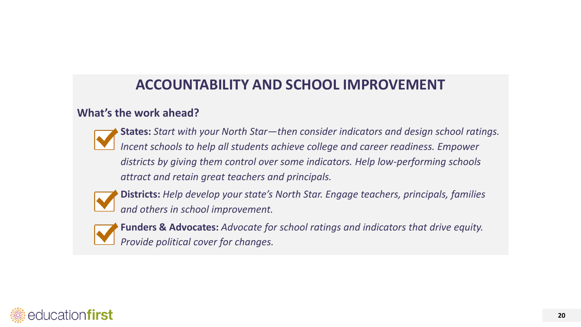## **ACCOUNTABILITY AND SCHOOL IMPROVEMENT**

## **What's the work ahead?**



**States:** *Start with your North Star—then consider indicators and design school ratings. Incent schools to help all students achieve college and career readiness. Empower districts by giving them control over some indicators. Help low-performing schools attract and retain great teachers and principals.*



**Districts:** *Help develop your state's North Star. Engage teachers, principals, families and others in school improvement.* 



**Funders & Advocates:** *Advocate for school ratings and indicators that drive equity. Provide political cover for changes.*

<span id="page-19-0"></span>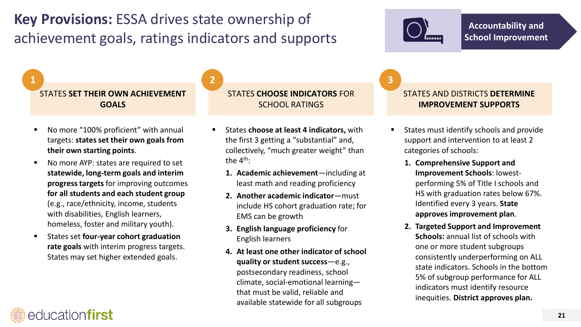## **Key Provisions:** ESSA drives state ownership of achievement goals, ratings indicators and supports

STATES **SET THEIR OWN ACHIEVEMENT GOALS**

- No more "100% proficient" with annual targets: **states set their own goals from their own starting points**.
- No more AYP: states are required to set **statewide, long-term goals and interim progress targets** for improving outcomes **for all students and each student group**  (e.g., race/ethnicity, income, students with disabilities, English learners, homeless, foster and military youth).
- States set **four-year cohort graduation rate goals** with interim progress targets. States may set higher extended goals.

educationfirst

### STATES **CHOOSE INDICATORS** FOR SCHOOL RATINGS **1 2 3**

- States **choose at least 4 indicators,** with the first 3 getting a "substantial" and, collectively, "much greater weight" than the 4<sup>th</sup>:
	- **1. Academic achievement**—including at least math and reading proficiency
	- **2. Another academic indicator**—must include HS cohort graduation rate; for EMS can be growth
	- **3. English language proficiency** for English learners
	- **4. At least one other indicator of school quality or student success**—e.g., postsecondary readiness, school climate, social-emotional learning that must be valid, reliable and available statewide for all subgroups

### STATES AND DISTRICTS **DETERMINE IMPROVEMENT SUPPORTS**

- States must identify schools and provide support and intervention to at least 2 categories of schools:
	- **1. Comprehensive Support and Improvement Schools**: lowestperforming 5% of Title I schools and HS with graduation rates below 67%. Identified every 3 years. **State approves improvement plan**.
	- **2. Targeted Support and Improvement Schools:** annual list of schools with one or more student subgroups consistently underperforming on ALL state indicators. Schools in the bottom 5% of subgroup performance for ALL indicators must identify resource inequities. **District approves plan.**



**Accountability and School Improvement**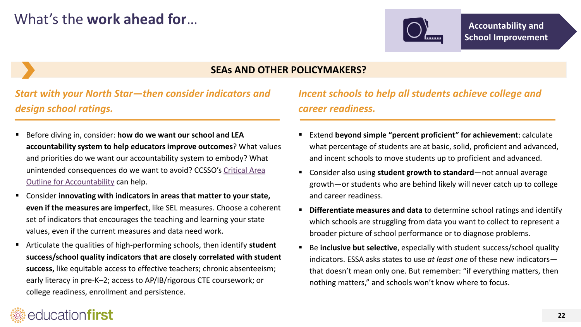

### **SEAs AND OTHER POLICYMAKERS?**

*Start with your North Star—then consider indicators and design school ratings.*

- Before diving in, consider: **how do we want our school and LEA accountability system to help educators improve outcomes**? What values and priorities do we want our accountability system to embody? What [unintended consequences do we want to avoid?](http://www.ccsso.org/Documents/2016/CriticalAreaOutlineAccountability.pdf) CCSSO's Critical Area Outline for Accountability can help.
- Consider **innovating with indicators in areas that matter to your state, even if the measures are imperfect**, like SEL measures. Choose a coherent set of indicators that encourages the teaching and learning your state values, even if the current measures and data need work.
- Articulate the qualities of high-performing schools, then identify **student success/school quality indicators that are closely correlated with student success,** like equitable access to effective teachers; chronic absenteeism; early literacy in pre-K–2; access to AP/IB/rigorous CTE coursework; or college readiness, enrollment and persistence.

## *Incent schools to help all students achieve college and career readiness.*

- Extend **beyond simple "percent proficient" for achievement**: calculate what percentage of students are at basic, solid, proficient and advanced, and incent schools to move students up to proficient and advanced.
- Consider also using **student growth to standard**—not annual average growth—or students who are behind likely will never catch up to college and career readiness.
- **Differentiate measures and data** to determine school ratings and identify which schools are struggling from data you want to collect to represent a broader picture of school performance or to diagnose problems.
- Be **inclusive but selective**, especially with student success/school quality indicators. ESSA asks states to use *at least one* of these new indicators that doesn't mean only one. But remember: "if everything matters, then nothing matters," and schools won't know where to focus.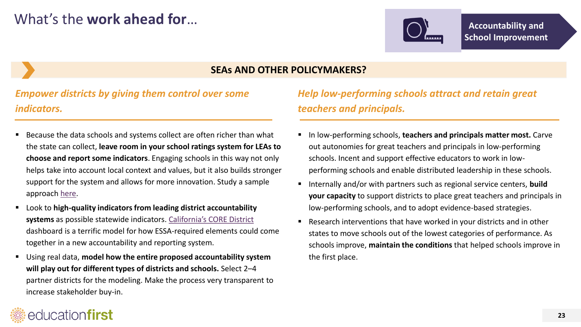

### **SEAs AND OTHER POLICYMAKERS?**

*Empower districts by giving them control over some indicators.*

- Because the data schools and systems collect are often richer than what the state can collect, **leave room in your school ratings system for LEAs to choose and report some indicators**. Engaging schools in this way not only helps take into account local context and values, but it also builds stronger support for the system and allows for more innovation. Study a sample approach [here.](http://education-first.com/library/publication/toward-a-next-generation-school-accountability-system/)
- Look to **high-quality indicators from leading district accountability systems** as possible statewide indicators. [California's CORE District](http://coredistricts.org/wp-content/uploads/2016/01/CORE-Data-Collaborative-v3-1-21-16.pdf) dashboard is a terrific model for how ESSA-required elements could come together in a new accountability and reporting system.
- Using real data, **model how the entire proposed accountability system will play out for different types of districts and schools.** Select 2–4 partner districts for the modeling. Make the process very transparent to increase stakeholder buy-in.

## *Help low-performing schools attract and retain great teachers and principals.*

- In low-performing schools, **teachers and principals matter most.** Carve out autonomies for great teachers and principals in low-performing schools. Incent and support effective educators to work in lowperforming schools and enable distributed leadership in these schools.
- Internally and/or with partners such as regional service centers, **build your capacity** to support districts to place great teachers and principals in low-performing schools, and to adopt evidence-based strategies.
- Research interventions that have worked in your districts and in other states to move schools out of the lowest categories of performance. As schools improve, **maintain the conditions** that helped schools improve in the first place.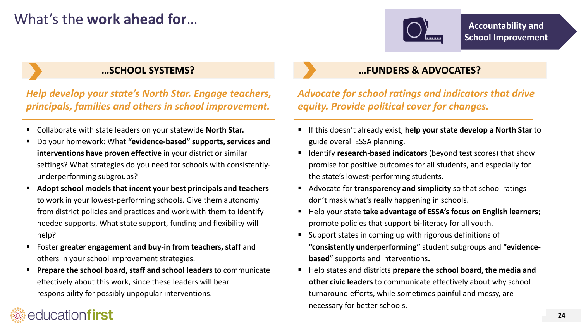## What's the **work ahead for**…



### *Help develop your state's North Star. Engage teachers, principals, families and others in school improvement.*

- Collaborate with state leaders on your statewide **North Star.**
- Do your homework: What **"evidence-based" supports, services and interventions have proven effective** in your district or similar settings? What strategies do you need for schools with consistentlyunderperforming subgroups?
- **Adopt school models that incent your best principals and teachers**  to work in your lowest-performing schools. Give them autonomy from district policies and practices and work with them to identify needed supports. What state support, funding and flexibility will help?
- Foster **greater engagement and buy-in from teachers, staff** and others in your school improvement strategies.

educationfirst

 **Prepare the school board, staff and school leaders** to communicate effectively about this work, since these leaders will bear responsibility for possibly unpopular interventions.

## **…SCHOOL SYSTEMS? …FUNDERS & ADVOCATES?**

- *Advocate for school ratings and indicators that drive equity. Provide political cover for changes.*
- If this doesn't already exist, **help your state develop a North Star** to guide overall ESSA planning.
- **If Identify research-based indicators** (beyond test scores) that show promise for positive outcomes for all students, and especially for the state's lowest-performing students.
- Advocate for **transparency and simplicity** so that school ratings don't mask what's really happening in schools.
- **Help your state take advantage of ESSA's focus on English learners;** promote policies that support bi-literacy for all youth.
- Support states in coming up with rigorous definitions of **"consistently underperforming"** student subgroups and **"evidencebased**" supports and interventions**.**
- Help states and districts **prepare the school board, the media and other civic leaders** to communicate effectively about why school turnaround efforts, while sometimes painful and messy, are necessary for better schools.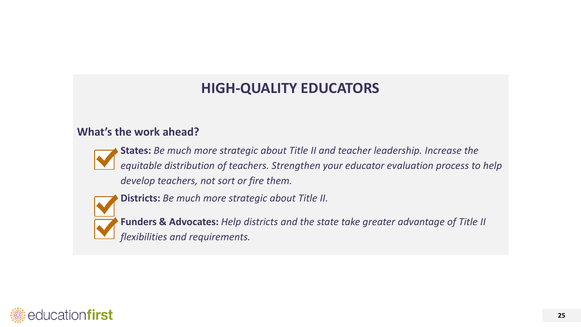## **HIGH-QUALITY EDUCATORS**

### **What's the work ahead?**



**States:** *Be much more strategic about Title II and teacher leadership. Increase the equitable distribution of teachers. Strengthen your educator evaluation process to help develop teachers, not sort or fire them.* 



**Districts:** *Be much more strategic about Title II.*

**Funders & Advocates:** *Help districts and the state take greater advantage of Title II flexibilities and requirements.* 

<span id="page-24-0"></span>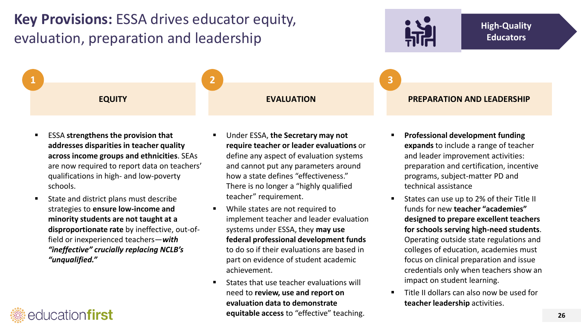## **Key Provisions:** ESSA drives educator equity, evaluation, preparation and leadership

**1 2 3**



- ESSA **strengthens the provision that addresses disparities in teacher quality across income groups and ethnicities**. SEAs are now required to report data on teachers' qualifications in high- and low-poverty schools.
- **State and district plans must describe** strategies to **ensure low-income and minority students are not taught at a disproportionate rate** by ineffective, out-offield or inexperienced teachers—*with "ineffective" crucially replacing NCLB's "unqualified."*

educationfirst

- Under ESSA, **the Secretary may not require teacher or leader evaluations** or define any aspect of evaluation systems and cannot put any parameters around how a state defines "effectiveness." There is no longer a "highly qualified teacher" requirement.
- **While states are not required to** implement teacher and leader evaluation systems under ESSA, they **may use federal professional development funds**  to do so if their evaluations are based in part on evidence of student academic achievement.
- **States that use teacher evaluations will** need to **review, use and report on evaluation data to demonstrate equitable access** to "effective" teaching.

### **EQUITY EVALUATION PREPARATION AND LEADERSHIP**

- **Professional development funding expands** to include a range of teacher and leader improvement activities: preparation and certification, incentive programs, subject-matter PD and technical assistance
- **States can use up to 2% of their Title II** funds for new **teacher "academies" designed to prepare excellent teachers for schools serving high-need students**. Operating outside state regulations and colleges of education, academies must focus on clinical preparation and issue credentials only when teachers show an impact on student learning.
- Title II dollars can also now be used for **teacher leadership** activities.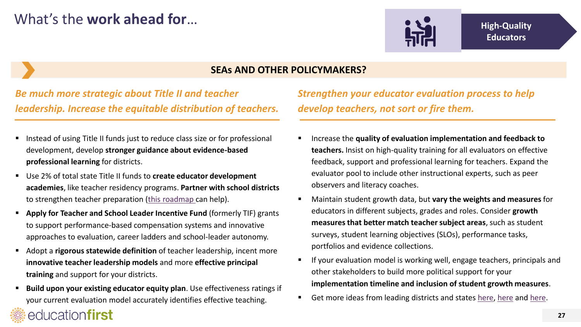

### **SEAs AND OTHER POLICYMAKERS?**

*Be much more strategic about Title II and teacher leadership. Increase the equitable distribution of teachers.*

- Instead of using Title II funds just to reduce class size or for professional development, develop **stronger guidance about evidence-based professional learning** for districts.
- Use 2% of total state Title II funds to **create educator development academies**, like teacher residency programs. **Partner with school districts**  to strengthen teacher preparation ([this roadmap](http://education-first.com/library/publication/ensuring-high-quality-teacher-talent/) can help).
- **Apply for Teacher and School Leader Incentive Fund** (formerly TIF) grants to support performance-based compensation systems and innovative approaches to evaluation, career ladders and school-leader autonomy.
- Adopt a **rigorous statewide definition** of teacher leadership, incent more **innovative teacher leadership models** and more **effective principal training** and support for your districts.
- **Build upon your existing educator equity plan.** Use effectiveness ratings if your current evaluation model accurately identifies effective teaching.

educationfirst

*Strengthen your educator evaluation process to help develop teachers, not sort or fire them.* 

- Increase the **quality of evaluation implementation and feedback to teachers.** Insist on high-quality training for all evaluators on effective feedback, support and professional learning for teachers. Expand the evaluator pool to include other instructional experts, such as peer observers and literacy coaches.
- Maintain student growth data, but **vary the weights and measures** for educators in different subjects, grades and roles. Consider **growth measures that better match teacher subject areas**, such as student surveys, student learning objectives (SLOs), performance tasks, portfolios and evidence collections.
- **If your evaluation model is working well, engage teachers, principals and** other stakeholders to build more political support for your **implementation timeline and inclusion of student growth measures**.
- Get more ideas from leading districts and states [here](http://education-first.com/library/publication/following-through-on-what-weve-started/), here and [here.](http://education-first.com/library/publication/evaluation-and-support-strategies-for-success/)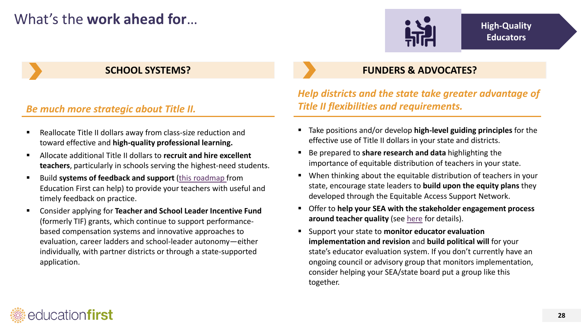## What's the work ahead for…



### *Be much more strategic about Title II.*

- Reallocate Title II dollars away from class-size reduction and toward effective and **high-quality professional learning.**
- Allocate additional Title II dollars to **recruit and hire excellent teachers**, particularly in schools serving the highest-need students.
- **Build systems of feedback and support** ([this roadmap](http://education-first.com/library/publication/giving-teachers-the-feedback-and-support-they-deserve-five-essential-practices/) from Education First can help) to provide your teachers with useful and timely feedback on practice.
- Consider applying for **Teacher and School Leader Incentive Fund**  (formerly TIF) grants, which continue to support performancebased compensation systems and innovative approaches to evaluation, career ladders and school-leader autonomy—either individually, with partner districts or through a state-supported application.

### **SCHOOL SYSTEMS? FUNDERS & ADVOCATES?**

*Help districts and the state take greater advantage of Title II flexibilities and requirements.* 

- Take positions and/or develop **high-level guiding principles** for the effective use of Title II dollars in your state and districts.
- Be prepared to **share research and data** highlighting the importance of equitable distribution of teachers in your state.
- When thinking about the equitable distribution of teachers in your state, encourage state leaders to **build upon the equity plans** they developed through the Equitable Access Support Network.
- Offer to **help your SEA with the stakeholder engagement process around teacher quality** (see [here](#page-27-0) for details).
- Support your state to **monitor educator evaluation implementation and revision** and **build political will** for your state's educator evaluation system. If you don't currently have an ongoing council or advisory group that monitors implementation, consider helping your SEA/state board put a group like this together.

<span id="page-27-0"></span>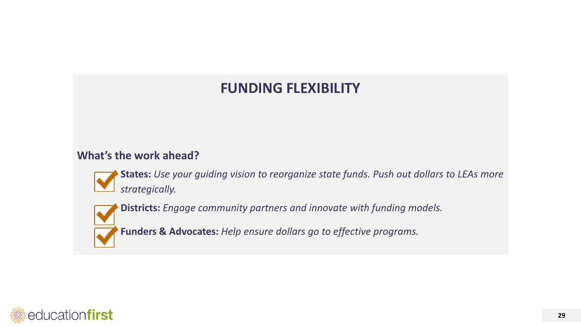## **FUNDING FLEXIBILITY**

## **What's the work ahead?**

**States:** *Use your guiding vision to reorganize state funds. Push out dollars to LEAs more strategically.*



**Districts:** *Engage community partners and innovate with funding models.* 

**Funders & Advocates:** *Help ensure dollars go to effective programs.*

<span id="page-28-0"></span>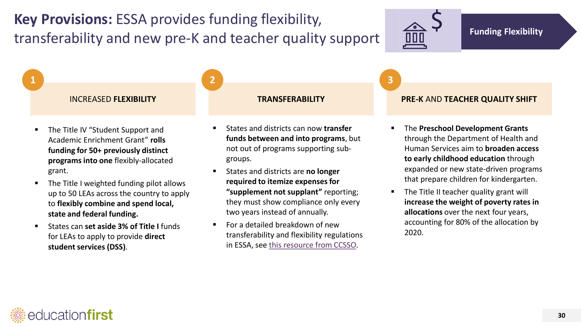**Key Provisions:** ESSA provides funding flexibility, transferability and new pre-K and teacher quality support

**1 2 3**



- The Title IV "Student Support and Academic Enrichment Grant" **rolls funding for 50+ previously distinct programs into one** flexibly-allocated grant.
- The Title I weighted funding pilot allows up to 50 LEAs across the country to apply to **flexibly combine and spend local, state and federal funding.**
- **EXECUTE: 1** States can set aside 3% of Title I funds for LEAs to apply to provide **direct student services (DSS)**.

- States and districts can now **transfer funds between and into programs**, but not out of programs supporting subgroups.
- States and districts are **no longer required to itemize expenses for "supplement not supplant"** reporting; they must show compliance only every two years instead of annually.
- $\blacksquare$  For a detailed breakdown of new transferability and flexibility regulations in ESSA, see [this resource from CCSSO](http://www.ccsso.org/Documents/Summary of Significant Spending and Fiscal Rules in ESSA - 03092016.pdf).

### INCREASED **FLEXIBILITY TRANSFERABILITY PRE-K** AND **TEACHER QUALITY SHIFT**

- The **Preschool Development Grants**  through the Department of Health and Human Services aim to **broaden access to early childhood education** through expanded or new state-driven programs that prepare children for kindergarten.
- **The Title II teacher quality grant will increase the weight of poverty rates in allocations** over the next four years, accounting for 80% of the allocation by 2020.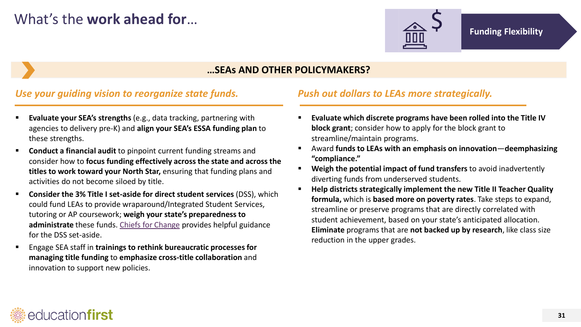

### **…SEAs AND OTHER POLICYMAKERS?**

### *Use your guiding vision to reorganize state funds.*

- **Evaluate your SEA's strengths** (e.g., data tracking, partnering with agencies to delivery pre-K) and **align your SEA's ESSA funding plan** to these strengths.
- **Conduct a financial audit** to pinpoint current funding streams and consider how to **focus funding effectively across the state and across the titles to work toward your North Star,** ensuring that funding plans and activities do not become siloed by title.
- **Consider the 3% Title I set-aside for direct student services** (DSS), which could fund LEAs to provide wraparound/Integrated Student Services, tutoring or AP coursework; **weigh your state's preparedness to administrate** these funds. [Chiefs for Change](http://chiefsforchange.org/wp-content/uploads/2016/04/Chiefs-for-Change-Direct-Student-Services-April-2016.pdf) provides helpful guidance for the DSS set-aside.
- Engage SEA staff in **trainings to rethink bureaucratic processes for managing title funding** to **emphasize cross-title collaboration** and innovation to support new policies.

### *Push out dollars to LEAs more strategically.*

- **Evaluate which discrete programs have been rolled into the Title IV block grant**; consider how to apply for the block grant to streamline/maintain programs.
- Award **funds to LEAs with an emphasis on innovation**—**deemphasizing "compliance."**
- **Weigh the potential impact of fund transfers** to avoid inadvertently diverting funds from underserved students.
- **Help districts strategically implement the new Title II Teacher Quality formula,** which is **based more on poverty rates**. Take steps to expand, streamline or preserve programs that are directly correlated with student achievement, based on your state's anticipated allocation. **Eliminate** programs that are **not backed up by research**, like class size reduction in the upper grades.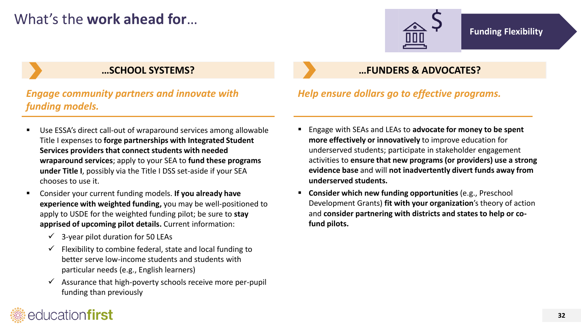## What's the **work ahead for**…



### *Engage community partners and innovate with funding models.*

- Use ESSA's direct call-out of wraparound services among allowable Title I expenses to **forge partnerships with Integrated Student Services providers that connect students with needed wraparound services**; apply to your SEA to **fund these programs under Title I**, possibly via the Title I DSS set-aside if your SEA chooses to use it.
- Consider your current funding models. **If you already have experience with weighted funding,** you may be well-positioned to apply to USDE for the weighted funding pilot; be sure to **stay apprised of upcoming pilot details.** Current information:
	- $\checkmark$  3-year pilot duration for 50 LEAs
	- $\checkmark$  Flexibility to combine federal, state and local funding to better serve low-income students and students with particular needs (e.g., English learners)
	- $\checkmark$  Assurance that high-poverty schools receive more per-pupil funding than previously

## **…SCHOOL SYSTEMS? …FUNDERS & ADVOCATES?**

### *Help ensure dollars go to effective programs.*

- Engage with SEAs and LEAs to **advocate for money to be spent more effectively or innovatively** to improve education for underserved students; participate in stakeholder engagement activities to **ensure that new programs (or providers) use a strong evidence base** and will **not inadvertently divert funds away from underserved students.**
- **Consider which new funding opportunities** (e.g., Preschool Development Grants) **fit with your organization**'s theory of action and **consider partnering with districts and states to help or cofund pilots.**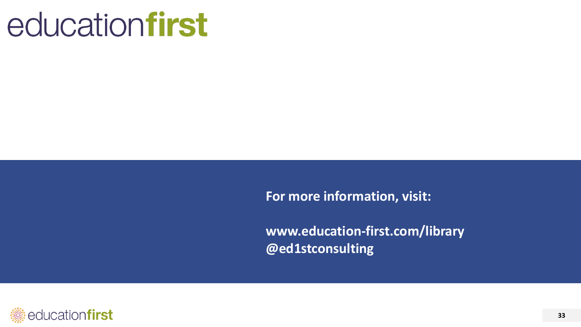# educationfirst

**For more information, visit:**

**www.education-first.com/library @ed1stconsulting** 

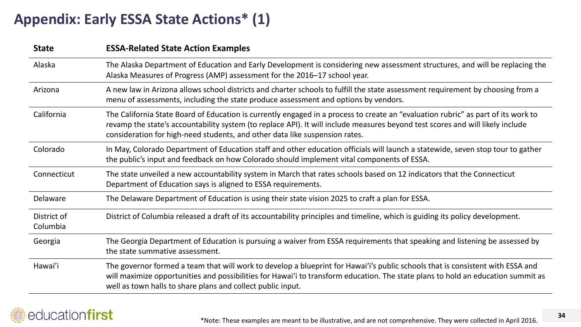## **Appendix: Early ESSA State Actions\* (1)**

| <b>State</b>            | <b>ESSA-Related State Action Examples</b>                                                                                                                                                                                                                                                                                                          |
|-------------------------|----------------------------------------------------------------------------------------------------------------------------------------------------------------------------------------------------------------------------------------------------------------------------------------------------------------------------------------------------|
| Alaska                  | The Alaska Department of Education and Early Development is considering new assessment structures, and will be replacing the<br>Alaska Measures of Progress (AMP) assessment for the 2016-17 school year.                                                                                                                                          |
| Arizona                 | A new law in Arizona allows school districts and charter schools to fulfill the state assessment requirement by choosing from a<br>menu of assessments, including the state produce assessment and options by vendors.                                                                                                                             |
| California              | The California State Board of Education is currently engaged in a process to create an "evaluation rubric" as part of its work to<br>revamp the state's accountability system (to replace API). It will include measures beyond test scores and will likely include<br>consideration for high-need students, and other data like suspension rates. |
| Colorado                | In May, Colorado Department of Education staff and other education officials will launch a statewide, seven stop tour to gather<br>the public's input and feedback on how Colorado should implement vital components of ESSA.                                                                                                                      |
| Connecticut             | The state unveiled a new accountability system in March that rates schools based on 12 indicators that the Connecticut<br>Department of Education says is aligned to ESSA requirements.                                                                                                                                                            |
| Delaware                | The Delaware Department of Education is using their state vision 2025 to craft a plan for ESSA.                                                                                                                                                                                                                                                    |
| District of<br>Columbia | District of Columbia released a draft of its accountability principles and timeline, which is guiding its policy development.                                                                                                                                                                                                                      |
| Georgia                 | The Georgia Department of Education is pursuing a waiver from ESSA requirements that speaking and listening be assessed by<br>the state summative assessment.                                                                                                                                                                                      |
| Hawai'i                 | The governor formed a team that will work to develop a blueprint for Hawai'i's public schools that is consistent with ESSA and<br>will maximize opportunities and possibilities for Hawai'i to transform education. The state plans to hold an education summit as<br>well as town halls to share plans and collect public input.                  |

### <span id="page-33-0"></span>educationfirst 38

**34**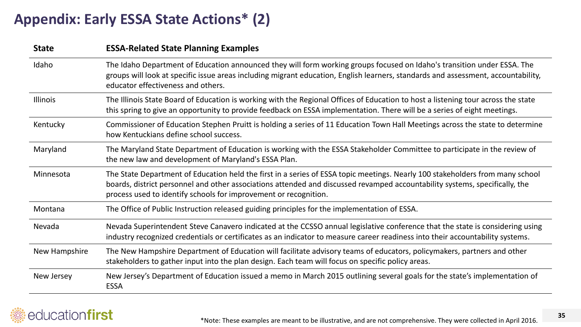## **Appendix: Early ESSA State Actions\* (2)**

| <b>State</b>    | <b>ESSA-Related State Planning Examples</b>                                                                                                                                                                                                                                                                                      |
|-----------------|----------------------------------------------------------------------------------------------------------------------------------------------------------------------------------------------------------------------------------------------------------------------------------------------------------------------------------|
| Idaho           | The Idaho Department of Education announced they will form working groups focused on Idaho's transition under ESSA. The<br>groups will look at specific issue areas including migrant education, English learners, standards and assessment, accountability,<br>educator effectiveness and others.                               |
| <b>Illinois</b> | The Illinois State Board of Education is working with the Regional Offices of Education to host a listening tour across the state<br>this spring to give an opportunity to provide feedback on ESSA implementation. There will be a series of eight meetings.                                                                    |
| Kentucky        | Commissioner of Education Stephen Pruitt is holding a series of 11 Education Town Hall Meetings across the state to determine<br>how Kentuckians define school success.                                                                                                                                                          |
| Maryland        | The Maryland State Department of Education is working with the ESSA Stakeholder Committee to participate in the review of<br>the new law and development of Maryland's ESSA Plan.                                                                                                                                                |
| Minnesota       | The State Department of Education held the first in a series of ESSA topic meetings. Nearly 100 stakeholders from many school<br>boards, district personnel and other associations attended and discussed revamped accountability systems, specifically, the<br>process used to identify schools for improvement or recognition. |
| Montana         | The Office of Public Instruction released guiding principles for the implementation of ESSA.                                                                                                                                                                                                                                     |
| Nevada          | Nevada Superintendent Steve Canavero indicated at the CCSSO annual legislative conference that the state is considering using<br>industry recognized credentials or certificates as an indicator to measure career readiness into their accountability systems.                                                                  |
| New Hampshire   | The New Hampshire Department of Education will facilitate advisory teams of educators, policymakers, partners and other<br>stakeholders to gather input into the plan design. Each team will focus on specific policy areas.                                                                                                     |
| New Jersey      | New Jersey's Department of Education issued a memo in March 2015 outlining several goals for the state's implementation of<br><b>ESSA</b>                                                                                                                                                                                        |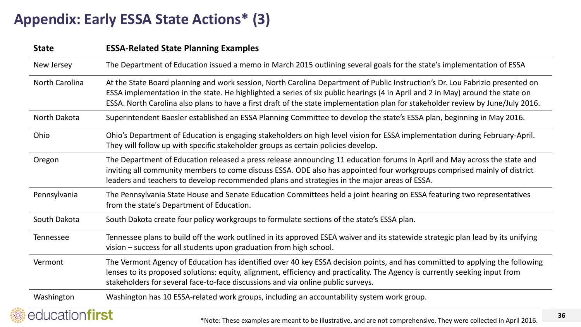## **Appendix: Early ESSA State Actions\* (3)**

| <b>State</b>          | <b>ESSA-Related State Planning Examples</b>                                                                                                                                                                                                                                                                                                                                                         |
|-----------------------|-----------------------------------------------------------------------------------------------------------------------------------------------------------------------------------------------------------------------------------------------------------------------------------------------------------------------------------------------------------------------------------------------------|
| New Jersey            | The Department of Education issued a memo in March 2015 outlining several goals for the state's implementation of ESSA                                                                                                                                                                                                                                                                              |
| <b>North Carolina</b> | At the State Board planning and work session, North Carolina Department of Public Instruction's Dr. Lou Fabrizio presented on<br>ESSA implementation in the state. He highlighted a series of six public hearings (4 in April and 2 in May) around the state on<br>ESSA. North Carolina also plans to have a first draft of the state implementation plan for stakeholder review by June/July 2016. |
| North Dakota          | Superintendent Baesler established an ESSA Planning Committee to develop the state's ESSA plan, beginning in May 2016.                                                                                                                                                                                                                                                                              |
| Ohio                  | Ohio's Department of Education is engaging stakeholders on high level vision for ESSA implementation during February-April.<br>They will follow up with specific stakeholder groups as certain policies develop.                                                                                                                                                                                    |
| Oregon                | The Department of Education released a press release announcing 11 education forums in April and May across the state and<br>inviting all community members to come discuss ESSA. ODE also has appointed four workgroups comprised mainly of district<br>leaders and teachers to develop recommended plans and strategies in the major areas of ESSA.                                               |
| Pennsylvania          | The Pennsylvania State House and Senate Education Committees held a joint hearing on ESSA featuring two representatives<br>from the state's Department of Education.                                                                                                                                                                                                                                |
| South Dakota          | South Dakota create four policy workgroups to formulate sections of the state's ESSA plan.                                                                                                                                                                                                                                                                                                          |
| Tennessee             | Tennessee plans to build off the work outlined in its approved ESEA waiver and its statewide strategic plan lead by its unifying<br>vision - success for all students upon graduation from high school.                                                                                                                                                                                             |
| Vermont               | The Vermont Agency of Education has identified over 40 key ESSA decision points, and has committed to applying the following<br>lenses to its proposed solutions: equity, alignment, efficiency and practicality. The Agency is currently seeking input from<br>stakeholders for several face-to-face discussions and via online public surveys.                                                    |
| Washington            | Washington has 10 ESSA-related work groups, including an accountability system work group.                                                                                                                                                                                                                                                                                                          |
| educationfirst        | *Note: These examples are meant to be illustrative, and are not comprehensive. They were collected in April 2016.                                                                                                                                                                                                                                                                                   |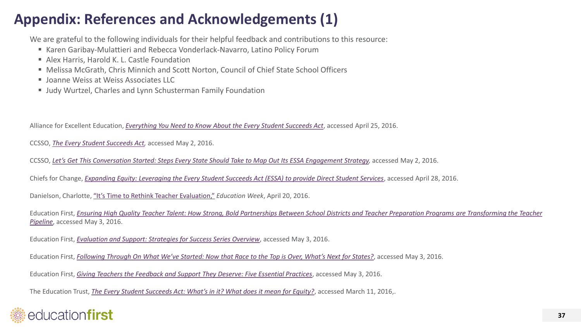## **Appendix: References and Acknowledgements (1)**

We are grateful to the following individuals for their helpful feedback and contributions to this resource:

- Karen Garibay-Mulattieri and Rebecca Vonderlack-Navarro, Latino Policy Forum
- Alex Harris, Harold K. L. Castle Foundation
- Melissa McGrath, Chris Minnich and Scott Norton, Council of Chief State School Officers
- **Joanne Weiss at Weiss Associates LLC**
- Judy Wurtzel, Charles and Lynn Schusterman Family Foundation

Alliance for Excellent Education, *[Everything You Need to Know About the Every Student Succeeds Act](http://all4ed.org/ESSA/)*, accessed April 25, 2016.

CCSSO, *[The Every Student Succeeds Act,](http://www.ccsso.org/Resources/Programs/Every_Student_Succeeds_Act.html)* accessed May 2, 2016.

CCSSO, *Let's Get This Conversation [Started: Steps Every State Should Take to Map Out Its ESSA Engagement Strategy,](http://www.ccsso.org/Documents/2016/ESSA/GuideonESSAStakeholderOutreach.pdf)* accessed May 2, 2016.

Chiefs for Change, *[Expanding Equity: Leveraging the Every Student Succeeds Act \(ESSA\) to provide Direct Student Services](http://chiefsforchange.org/wp-content/uploads/2016/04/Chiefs-for-Change-Direct-Student-Services-April-2016.pdf)*, accessed April 28, 2016.

Danielson, Charlotte, ["It's Time to Rethink Teacher Evaluation,"](http://www.edweek.org/ew/articles/2016/04/20/charlotte-danielson-on-rethinking-teacher-evaluation.html) *Education Week*, April 20, 2016.

Education First, *[Ensuring High Quality Teacher Talent: How Strong, Bold Partnerships Between School Districts and Teacher Preparation Programs](http://education-first.com/library/publication/ensuring-high-quality-teacher-talent/) are Transforming the Teacher Pipeline*, accessed May 3, 2016.

Education First, *[Evaluation and Support: Strategies for Success Series Overview](http://education-first.com/library/publication/evaluation-and-support-strategies-for-success/)*, accessed May 3, 2016.

Education First, *[Following Through On What We've Started: Now that Race to the Top is Over, What's Next for States?](http://education-first.com/library/publication/following-through-on-what-weve-started/)*, accessed May 3, 2016.

Education First, *[Giving Teachers the Feedback and Support They Deserve: Five Essential Practices](http://education-first.com/library/publication/giving-teachers-the-feedback-and-support-they-deserve-five-essential-practices/)*, accessed May 3, 2016.

<span id="page-36-0"></span>The Education Trust, *[The Every Student Succeeds Act: What's in it? What does it mean for Equity?](https://edtrust.org/resource/the-every-student-succeeds-act-whats-in-it-what-does-it-mean-for-equity/)*, accessed March 11, 2016,.